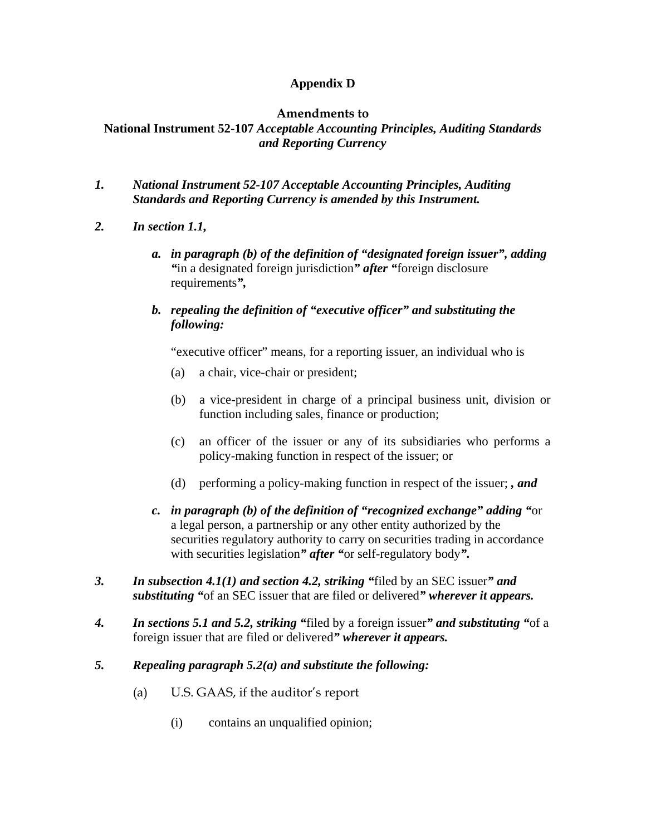## **Appendix D**

#### **Amendments to**

# **National Instrument 52-107** *Acceptable Accounting Principles, Auditing Standards and Reporting Currency*

- *1. National Instrument 52-107 Acceptable Accounting Principles, Auditing Standards and Reporting Currency is amended by this Instrument.*
- *2. In section 1.1,* 
	- *a. in paragraph (b) of the definition of "designated foreign issuer", adding "*in a designated foreign jurisdiction*" after "*foreign disclosure requirements*",*
	- *b. repealing the definition of "executive officer" and substituting the following:*

"executive officer" means, for a reporting issuer, an individual who is

- (a) a chair, vice-chair or president;
- (b) a vice-president in charge of a principal business unit, division or function including sales, finance or production;
- (c) an officer of the issuer or any of its subsidiaries who performs a policy-making function in respect of the issuer; or
- (d) performing a policy-making function in respect of the issuer; *, and*
- *c. in paragraph (b) of the definition of "recognized exchange" adding "*or a legal person, a partnership or any other entity authorized by the securities regulatory authority to carry on securities trading in accordance with securities legislation*" after "*or self-regulatory body*".*
- *3. In subsection 4.1(1) and section 4.2, striking "*filed by an SEC issuer*" and substituting "*of an SEC issuer that are filed or delivered*" wherever it appears.*
- *4. In sections 5.1 and 5.2, striking "*filed by a foreign issuer*" and substituting "*of a foreign issuer that are filed or delivered*" wherever it appears.*
- *5. Repealing paragraph 5.2(a) and substitute the following:* 
	- (a) U.S. GAAS, if the auditor's report
		- (i) contains an unqualified opinion;